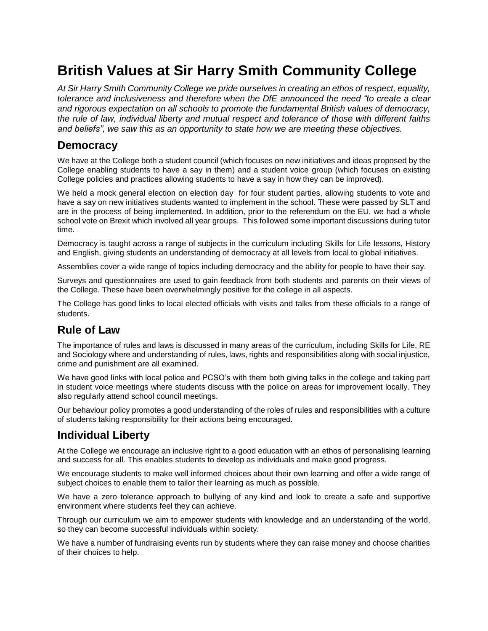# **British Values at Sir Harry Smith Community College**

*At Sir Harry Smith Community College we pride ourselves in creating an ethos of respect, equality, tolerance and inclusiveness and therefore when the DfE announced the need "to create a clear and rigorous expectation on all schools to promote the fundamental British values of democracy, the rule of law, individual liberty and mutual respect and tolerance of those with different faiths and beliefs", we saw this as an opportunity to state how we are meeting these objectives.*

#### **Democracy**

We have at the College both a student council (which focuses on new initiatives and ideas proposed by the College enabling students to have a say in them) and a student voice group (which focuses on existing College policies and practices allowing students to have a say in how they can be improved).

We held a mock general election on election day for four student parties, allowing students to vote and have a say on new initiatives students wanted to implement in the school. These were passed by SLT and are in the process of being implemented. In addition, prior to the referendum on the EU, we had a whole school vote on Brexit which involved all year groups. This followed some important discussions during tutor time.

Democracy is taught across a range of subjects in the curriculum including Skills for Life lessons, History and English, giving students an understanding of democracy at all levels from local to global initiatives.

Assemblies cover a wide range of topics including democracy and the ability for people to have their say.

Surveys and questionnaires are used to gain feedback from both students and parents on their views of the College. These have been overwhelmingly positive for the college in all aspects.

The College has good links to local elected officials with visits and talks from these officials to a range of students.

### **Rule of Law**

The importance of rules and laws is discussed in many areas of the curriculum, including Skills for Life, RE and Sociology where and understanding of rules, laws, rights and responsibilities along with social injustice, crime and punishment are all examined.

We have good links with local police and PCSO's with them both giving talks in the college and taking part in student voice meetings where students discuss with the police on areas for improvement locally. They also regularly attend school council meetings.

Our behaviour policy promotes a good understanding of the roles of rules and responsibilities with a culture of students taking responsibility for their actions being encouraged.

## **Individual Liberty**

At the College we encourage an inclusive right to a good education with an ethos of personalising learning and success for all. This enables students to develop as individuals and make good progress.

We encourage students to make well informed choices about their own learning and offer a wide range of subject choices to enable them to tailor their learning as much as possible.

We have a zero tolerance approach to bullying of any kind and look to create a safe and supportive environment where students feel they can achieve.

Through our curriculum we aim to empower students with knowledge and an understanding of the world, so they can become successful individuals within society.

We have a number of fundraising events run by students where they can raise money and choose charities of their choices to help.